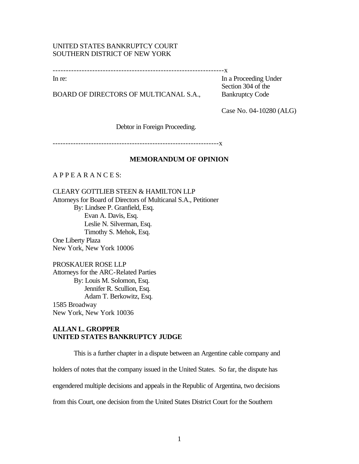# UNITED STATES BANKRUPTCY COURT SOUTHERN DISTRICT OF NEW YORK

-----------------------------------------------------------------x

BOARD OF DIRECTORS OF MULTICANAL S.A., Bankruptcy Code

In re: In a Proceeding Under Section 304 of the

Case No. 04-10280 (ALG)

Debtor in Foreign Proceeding.

-----------------------------------------------------------------x

### **MEMORANDUM OF OPINION**

A P P E A R A N C E S:

CLEARY GOTTLIEB STEEN & HAMILTON LLP Attorneys for Board of Directors of Multicanal S.A., Petitioner By: Lindsee P. Granfield, Esq. Evan A. Davis, Esq. Leslie N. Silverman, Esq. Timothy S. Mehok, Esq. One Liberty Plaza New York, New York 10006

PROSKAUER ROSE LLP Attorneys for the ARC-Related Parties By: Louis M. Solomon, Esq. Jennifer R. Scullion, Esq. Adam T. Berkowitz, Esq. 1585 Broadway New York, New York 10036

# **ALLAN L. GROPPER UNITED STATES BANKRUPTCY JUDGE**

This is a further chapter in a dispute between an Argentine cable company and holders of notes that the company issued in the United States. So far, the dispute has engendered multiple decisions and appeals in the Republic of Argentina, two decisions from this Court, one decision from the United States District Court for the Southern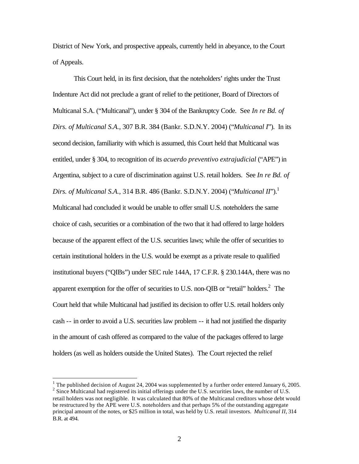District of New York, and prospective appeals, currently held in abeyance, to the Court of Appeals.

This Court held, in its first decision, that the noteholders' rights under the Trust Indenture Act did not preclude a grant of relief to the petitioner, Board of Directors of Multicanal S.A. ("Multicanal"), under § 304 of the Bankruptcy Code. See *In re Bd. of Dirs. of Multicanal S.A.*, 307 B.R. 384 (Bankr. S.D.N.Y. 2004) ("*Multicanal I*"). In its second decision, familiarity with which is assumed, this Court held that Multicanal was entitled, under § 304, to recognition of its *acuerdo preventivo extrajudicial* ("APE") in Argentina, subject to a cure of discrimination against U.S. retail holders. See *In re Bd. of Dirs. of Multicanal S.A., 314 B.R. 486 (Bankr. S.D.N.Y. 2004) ("Multicanal II").*<sup>1</sup> Multicanal had concluded it would be unable to offer small U.S. noteholders the same choice of cash, securities or a combination of the two that it had offered to large holders because of the apparent effect of the U.S. securities laws; while the offer of securities to certain institutional holders in the U.S. would be exempt as a private resale to qualified institutional buyers ("QIBs") under SEC rule 144A, 17 C.F.R. § 230.144A, there was no apparent exemption for the offer of securities to U.S. non-QIB or "retail" holders. $2$  The Court held that while Multicanal had justified its decision to offer U.S. retail holders only cash -- in order to avoid a U.S. securities law problem -- it had not justified the disparity in the amount of cash offered as compared to the value of the packages offered to large holders (as well as holders outside the United States). The Court rejected the relief

<sup>&</sup>lt;sup>1</sup> The published decision of August 24, 2004 was supplemented by a further order entered January 6, 2005. <sup>2</sup> Since Multicanal had registered its initial offerings under the U.S. securities laws, the number of U.S. retail holders was not negligible. It was calculated that 80% of the Multicanal creditors whose debt would be restructured by the APE were U.S. noteholders and that perhaps 5% of the outstanding aggregate principal amount of the notes, or \$25 million in total, was held by U.S. retail investors. *Multicanal II*, 314 B.R. at 494.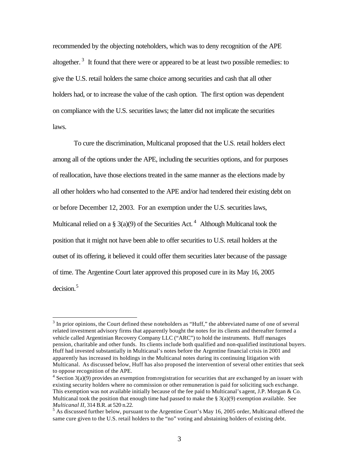recommended by the objecting noteholders, which was to deny recognition of the APE altogether.<sup>3</sup> It found that there were or appeared to be at least two possible remedies: to give the U.S. retail holders the same choice among securities and cash that all other holders had, or to increase the value of the cash option. The first option was dependent on compliance with the U.S. securities laws; the latter did not implicate the securities laws.

To cure the discrimination, Multicanal proposed that the U.S. retail holders elect among all of the options under the APE, including the securities options, and for purposes of reallocation, have those elections treated in the same manner as the elections made by all other holders who had consented to the APE and/or had tendered their existing debt on or before December 12, 2003. For an exemption under the U.S. securities laws, Multicanal relied on a § 3(a)(9) of the Securities Act.<sup>4</sup> Although Multicanal took the position that it might not have been able to offer securities to U.S. retail holders at the outset of its offering, it believed it could offer them securities later because of the passage of time. The Argentine Court later approved this proposed cure in its May 16, 2005 decision.<sup>5</sup>

 $3$  In prior opinions, the Court defined these noteholders as "Huff," the abbreviated name of one of several related investment advisory firms that apparently bought the notes for its clients and thereafter formed a vehicle called Argentinian Recovery Company LLC ("ARC") to hold the instruments. Huff manages pension, charitable and other funds. Its clients include both qualified and non-qualified institutional buyers. Huff had invested substantially in Multicanal's notes before the Argentine financial crisis in 2001 and apparently has increased its holdings in the Multicanal notes during its continuing litigation with Multicanal. As discussed below, Huff has also proposed the intervention of several other entities that seek to oppose recognition of the APE.

 $4 \text{ Section } 3(a)(9)$  provides an exemption from registration for securities that are exchanged by an issuer with existing security holders where no commission or other remuneration is paid for soliciting such exchange. This exemption was not available initially because of the fee paid to Multicanal's agent, J.P. Morgan & Co. Multicanal took the position that enough time had passed to make the  $\S 3(a)(9)$  exemption available. See *Multicanal II*, 314 B.R. at 520 n.22.

 $<sup>5</sup>$  As discussed further below, pursuant to the Argentine Court's May 16, 2005 order, Multicanal offered the</sup> same cure given to the U.S. retail holders to the "no" voting and abstaining holders of existing debt.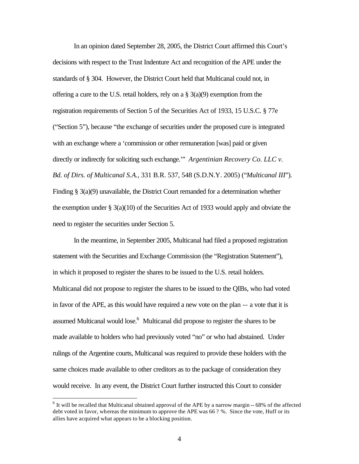In an opinion dated September 28, 2005, the District Court affirmed this Court's decisions with respect to the Trust Indenture Act and recognition of the APE under the standards of § 304. However, the District Court held that Multicanal could not, in offering a cure to the U.S. retail holders, rely on a § 3(a)(9) exemption from the registration requirements of Section 5 of the Securities Act of 1933, 15 U.S.C. § 77e ("Section 5"), because "the exchange of securities under the proposed cure is integrated with an exchange where a 'commission or other remuneration [was] paid or given directly or indirectly for soliciting such exchange.'" *Argentinian Recovery Co. LLC v. Bd. of Dirs. of Multicanal S.A.*, 331 B.R. 537, 548 (S.D.N.Y. 2005) ("*Multicanal III*"). Finding § 3(a)(9) unavailable, the District Court remanded for a determination whether the exemption under § 3(a)(10) of the Securities Act of 1933 would apply and obviate the need to register the securities under Section 5.

In the meantime, in September 2005, Multicanal had filed a proposed registration statement with the Securities and Exchange Commission (the "Registration Statement"), in which it proposed to register the shares to be issued to the U.S. retail holders. Multicanal did not propose to register the shares to be issued to the QIBs, who had voted in favor of the APE, as this would have required a new vote on the plan -- a vote that it is assumed Multicanal would lose.<sup>6</sup> Multicanal did propose to register the shares to be made available to holders who had previously voted "no" or who had abstained. Under rulings of the Argentine courts, Multicanal was required to provide these holders with the same choices made available to other creditors as to the package of consideration they would receive. In any event, the District Court further instructed this Court to consider

 $6$  It will be recalled that Multicanal obtained approval of the APE by a narrow margin  $-68\%$  of the affected debt voted in favor, whereas the minimum to approve the APE was 66 ? %. Since the vote, Huff or its allies have acquired what appears to be a blocking position.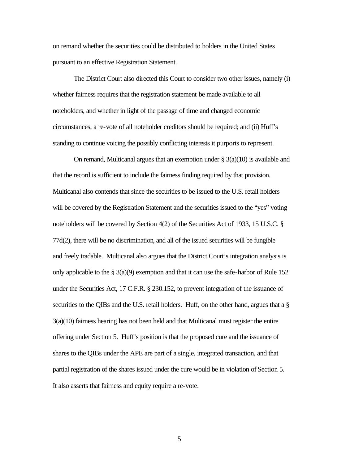on remand whether the securities could be distributed to holders in the United States pursuant to an effective Registration Statement.

The District Court also directed this Court to consider two other issues, namely (i) whether fairness requires that the registration statement be made available to all noteholders, and whether in light of the passage of time and changed economic circumstances, a re-vote of all noteholder creditors should be required; and (ii) Huff's standing to continue voicing the possibly conflicting interests it purports to represent.

On remand, Multicanal argues that an exemption under  $\S$  3(a)(10) is available and that the record is sufficient to include the fairness finding required by that provision. Multicanal also contends that since the securities to be issued to the U.S. retail holders will be covered by the Registration Statement and the securities issued to the "yes" voting noteholders will be covered by Section 4(2) of the Securities Act of 1933, 15 U.S.C. § 77d(2), there will be no discrimination, and all of the issued securities will be fungible and freely tradable. Multicanal also argues that the District Court's integration analysis is only applicable to the  $\S$  3(a)(9) exemption and that it can use the safe-harbor of Rule 152 under the Securities Act, 17 C.F.R. § 230.152, to prevent integration of the issuance of securities to the QIBs and the U.S. retail holders. Huff, on the other hand, argues that a § 3(a)(10) fairness hearing has not been held and that Multicanal must register the entire offering under Section 5. Huff's position is that the proposed cure and the issuance of shares to the QIBs under the APE are part of a single, integrated transaction, and that partial registration of the shares issued under the cure would be in violation of Section 5. It also asserts that fairness and equity require a re-vote.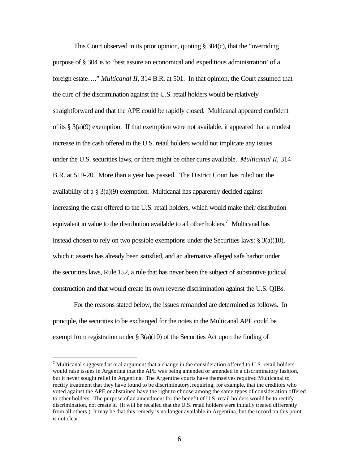This Court observed in its prior opinion, quoting § 304(c), that the "overriding purpose of § 304 is to 'best assure an economical and expeditious administration' of a foreign estate…." *Multicanal II*, 314 B.R. at 501. In that opinion, the Court assumed that the cure of the discrimination against the U.S. retail holders would be relatively straightforward and that the APE could be rapidly closed. Multicanal appeared confident of its  $\S 3(a)(9)$  exemption. If that exemption were not available, it appeared that a modest increase in the cash offered to the U.S. retail holders would not implicate any issues under the U.S. securities laws, or there might be other cures available. *Multicanal II*, 314 B.R. at 519-20. More than a year has passed. The District Court has ruled out the availability of a § 3(a)(9) exemption. Multicanal has apparently decided against increasing the cash offered to the U.S. retail holders, which would make their distribution equivalent in value to the distribution available to all other holders.<sup>7</sup> Multicanal has instead chosen to rely on two possible exemptions under the Securities laws:  $\S 3(a)(10)$ , which it asserts has already been satisfied, and an alternative alleged safe harbor under the securities laws, Rule 152, a rule that has never been the subject of substantive judicial construction and that would create its own reverse discrimination against the U.S. QIBs.

For the reasons stated below, the issues remanded are determined as follows. In principle, the securities to be exchanged for the notes in the Multicanal APE could be exempt from registration under  $\S 3(a)(10)$  of the Securities Act upon the finding of

 $^7$  Multicanal suggested at oral argument that a change in the consideration offered to U.S. retail holders would raise issues in Argentina that the APE was being amended or amended in a discriminatory fashion, but it never sought relief in Argentina. The Argentine courts have themselves required Multicanal to rectify treatment that they have found to be discriminatory, requiring, for example, that the creditors who voted against the APE or abstained have the right to choose among the same types of consideration offered to other holders. The purpose of an amendment for the benefit of U.S. retail holders would be to rectify discrimination, not create it. (It will be recalled that the U.S. retail holders were initially treated differently from all others.) It may be that this remedy is no longer available in Argentina, but the record on this point is not clear.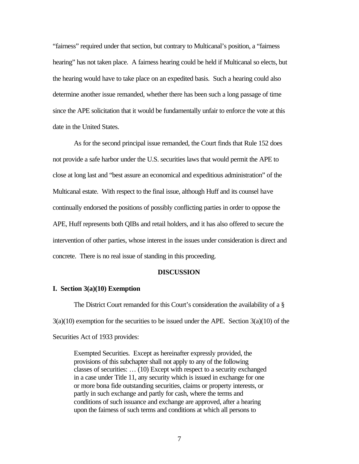"fairness" required under that section, but contrary to Multicanal's position, a "fairness hearing" has not taken place. A fairness hearing could be held if Multicanal so elects, but the hearing would have to take place on an expedited basis. Such a hearing could also determine another issue remanded, whether there has been such a long passage of time since the APE solicitation that it would be fundamentally unfair to enforce the vote at this date in the United States.

As for the second principal issue remanded, the Court finds that Rule 152 does not provide a safe harbor under the U.S. securities laws that would permit the APE to close at long last and "best assure an economical and expeditious administration" of the Multicanal estate. With respect to the final issue, although Huff and its counsel have continually endorsed the positions of possibly conflicting parties in order to oppose the APE, Huff represents both QIBs and retail holders, and it has also offered to secure the intervention of other parties, whose interest in the issues under consideration is direct and concrete. There is no real issue of standing in this proceeding.

#### **DISCUSSION**

## **I. Section 3(a)(10) Exemption**

The District Court remanded for this Court's consideration the availability of a §  $3(a)(10)$  exemption for the securities to be issued under the APE. Section  $3(a)(10)$  of the Securities Act of 1933 provides:

Exempted Securities. Except as hereinafter expressly provided, the provisions of this subchapter shall not apply to any of the following classes of securities: … (10) Except with respect to a security exchanged in a case under Title 11, any security which is issued in exchange for one or more bona fide outstanding securities, claims or property interests, or partly in such exchange and partly for cash, where the terms and conditions of such issuance and exchange are approved, after a hearing upon the fairness of such terms and conditions at which all persons to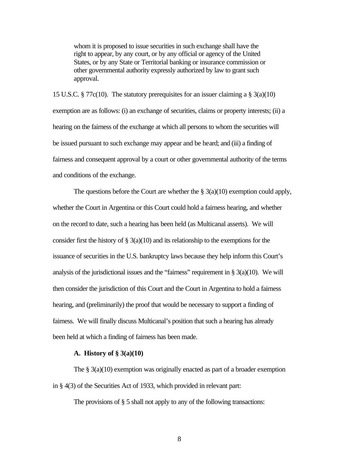whom it is proposed to issue securities in such exchange shall have the right to appear, by any court, or by any official or agency of the United States, or by any State or Territorial banking or insurance commission or other governmental authority expressly authorized by law to grant such approval.

15 U.S.C. § 77 $c(10)$ . The statutory prerequisites for an issuer claiming a § 3(a)(10) exemption are as follows: (i) an exchange of securities, claims or property interests; (ii) a hearing on the fairness of the exchange at which all persons to whom the securities will be issued pursuant to such exchange may appear and be heard; and (iii) a finding of fairness and consequent approval by a court or other governmental authority of the terms and conditions of the exchange.

The questions before the Court are whether the  $\S$  3(a)(10) exemption could apply, whether the Court in Argentina or this Court could hold a fairness hearing, and whether on the record to date, such a hearing has been held (as Multicanal asserts). We will consider first the history of  $\S$  3(a)(10) and its relationship to the exemptions for the issuance of securities in the U.S. bankruptcy laws because they help inform this Court's analysis of the jurisdictional issues and the "fairness" requirement in  $\S 3(a)(10)$ . We will then consider the jurisdiction of this Court and the Court in Argentina to hold a fairness hearing, and (preliminarily) the proof that would be necessary to support a finding of fairness. We will finally discuss Multicanal's position that such a hearing has already been held at which a finding of fairness has been made.

#### **A. History of § 3(a)(10)**

The  $\S$  3(a)(10) exemption was originally enacted as part of a broader exemption in § 4(3) of the Securities Act of 1933, which provided in relevant part:

The provisions of  $\S$  5 shall not apply to any of the following transactions: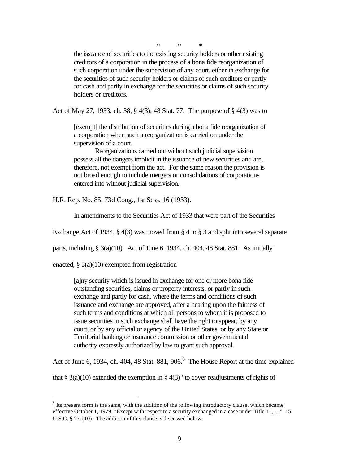\* \* \*

the issuance of securities to the existing security holders or other existing creditors of a corporation in the process of a bona fide reorganization of such corporation under the supervision of any court, either in exchange for the securities of such security holders or claims of such creditors or partly for cash and partly in exchange for the securities or claims of such security holders or creditors.

Act of May 27, 1933, ch. 38, § 4(3), 48 Stat. 77. The purpose of § 4(3) was to

[exempt] the distribution of securities during a bona fide reorganization of a corporation when such a reorganization is carried on under the supervision of a court.

Reorganizations carried out without such judicial supervision possess all the dangers implicit in the issuance of new securities and are, therefore, not exempt from the act. For the same reason the provision is not broad enough to include mergers or consolidations of corporations entered into without judicial supervision.

H.R. Rep. No. 85, 73d Cong., 1st Sess. 16 (1933).

In amendments to the Securities Act of 1933 that were part of the Securities

Exchange Act of 1934, § 4(3) was moved from § 4 to § 3 and split into several separate

parts, including § 3(a)(10). Act of June 6, 1934, ch. 404, 48 Stat. 881. As initially

enacted, § 3(a)(10) exempted from registration

 $\overline{a}$ 

[a]ny security which is issued in exchange for one or more bona fide outstanding securities, claims or property interests, or partly in such exchange and partly for cash, where the terms and conditions of such issuance and exchange are approved, after a hearing upon the fairness of such terms and conditions at which all persons to whom it is proposed to issue securities in such exchange shall have the right to appear, by any court, or by any official or agency of the United States, or by any State or Territorial banking or insurance commission or other governmental authority expressly authorized by law to grant such approval.

Act of June 6, 1934, ch. 404, 48 Stat. 881, 906. $8$  The House Report at the time explained

that § 3(a)(10) extended the exemption in § 4(3) "to cover readjustments of rights of

 $8$  Its present form is the same, with the addition of the following introductory clause, which became effective October 1, 1979: "Except with respect to a security exchanged in a case under Title 11, ...." 15 U.S.C. § 77c(10). The addition of this clause is discussed below.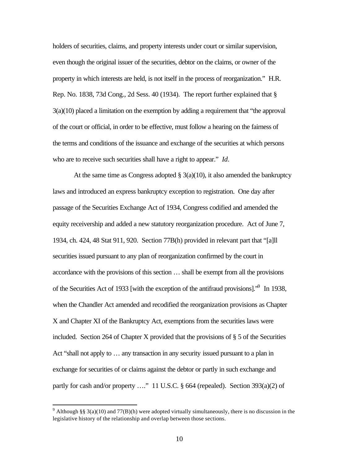holders of securities, claims, and property interests under court or similar supervision, even though the original issuer of the securities, debtor on the claims, or owner of the property in which interests are held, is not itself in the process of reorganization." H.R. Rep. No. 1838, 73d Cong., 2d Sess. 40 (1934). The report further explained that § 3(a)(10) placed a limitation on the exemption by adding a requirement that "the approval of the court or official, in order to be effective, must follow a hearing on the fairness of the terms and conditions of the issuance and exchange of the securities at which persons who are to receive such securities shall have a right to appear." *Id*.

At the same time as Congress adopted  $\S$  3(a)(10), it also amended the bankruptcy laws and introduced an express bankruptcy exception to registration. One day after passage of the Securities Exchange Act of 1934, Congress codified and amended the equity receivership and added a new statutory reorganization procedure. Act of June 7, 1934, ch. 424, 48 Stat 911, 920. Section 77B(h) provided in relevant part that "[a]ll securities issued pursuant to any plan of reorganization confirmed by the court in accordance with the provisions of this section … shall be exempt from all the provisions of the Securities Act of 1933 [with the exception of the antifraud provisions].<sup>\*9</sup> In 1938, when the Chandler Act amended and recodified the reorganization provisions as Chapter X and Chapter XI of the Bankruptcy Act, exemptions from the securities laws were included. Section 264 of Chapter X provided that the provisions of  $\S$  5 of the Securities Act "shall not apply to … any transaction in any security issued pursuant to a plan in exchange for securities of or claims against the debtor or partly in such exchange and partly for cash and/or property …." 11 U.S.C. § 664 (repealed). Section 393(a)(2) of

<sup>&</sup>lt;sup>9</sup> Although §§ 3(a)(10) and 77(B)(h) were adopted virtually simultaneously, there is no discussion in the legislative history of the relationship and overlap between those sections.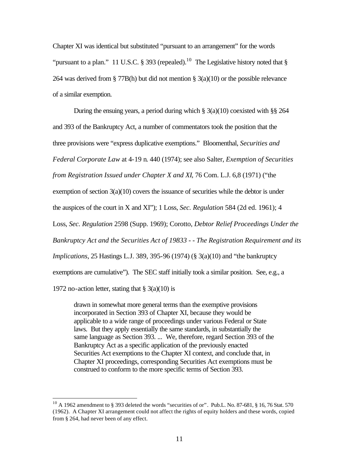Chapter XI was identical but substituted "pursuant to an arrangement" for the words "pursuant to a plan." 11 U.S.C. § 393 (repealed).<sup>10</sup> The Legislative history noted that § 264 was derived from § 77B(h) but did not mention § 3(a)(10) or the possible relevance of a similar exemption.

During the ensuing years, a period during which  $\S$  3(a)(10) coexisted with  $\S$ § 264 and 393 of the Bankruptcy Act, a number of commentators took the position that the three provisions were "express duplicative exemptions." Bloomenthal, *Securities and* 

*Federal Corporate Law* at 4-19 n. 440 (1974); see also Salter, *Exemption of Securities* 

*from Registration Issued under Chapter X and XI*, 76 Com. L.J. 6,8 (1971) ("the

exemption of section  $3(a)(10)$  covers the issuance of securities while the debtor is under

the auspices of the court in X and XI"); 1 Loss, *Sec. Regulation* 584 (2d ed. 1961); 4

Loss, *Sec. Regulation* 2598 (Supp. 1969); Corotto, *Debtor Relief Proceedings Under the* 

*Bankruptcy Act and the Securities Act of 19833 - - The Registration Requirement and its* 

*Implications*, 25 Hastings L.J. 389, 395-96 (1974) (§ 3(a)(10) and "the bankruptcy

exemptions are cumulative"). The SEC staff initially took a similar position. See, e.g., a

1972 no-action letter, stating that  $\S$  3(a)(10) is

 $\overline{a}$ 

drawn in somewhat more general terms than the exemptive provisions incorporated in Section 393 of Chapter XI, because they would be applicable to a wide range of proceedings under various Federal or State laws. But they apply essentially the same standards, in substantially the same language as Section 393. ... We, therefore, regard Section 393 of the Bankruptcy Act as a specific application of the previously enacted Securities Act exemptions to the Chapter XI context, and conclude that, in Chapter XI proceedings, corresponding Securities Act exemptions must be construed to conform to the more specific terms of Section 393.

 $10$  A 1962 amendment to § 393 deleted the words "securities of or". Pub.L. No. 87-681, § 16, 76 Stat. 570 (1962). A Chapter XI arrangement could not affect the rights of equity holders and these words, copied from § 264, had never been of any effect.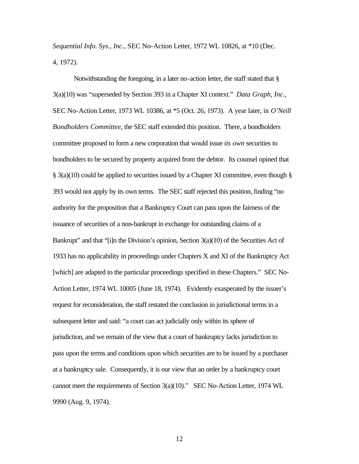*Sequential Info. Sys., Inc.*, SEC No-Action Letter, 1972 WL 10826, at \*10 (Dec. 4, 1972).

Notwithstanding the foregoing, in a later no-action letter, the staff stated that § 3(a)(10) was "superseded by Section 393 in a Chapter XI context." *Data Graph, Inc.*, SEC No-Action Letter, 1973 WL 10386, at \*5 (Oct. 26, 1973). A year later, in *O'Neill Bondholders Committee*, the SEC staff extended this position. There, a bondholders committee proposed to form a new corporation that would issue *its own* securities to bondholders to be secured by property acquired from the debtor. Its counsel opined that  $\S$  3(a)(10) could be applied to securities issued by a Chapter XI committee, even though  $\S$ 393 would not apply by its own terms. The SEC staff rejected this position, finding "no authority for the proposition that a Bankruptcy Court can pass upon the fairness of the issuance of securities of a non-bankrupt in exchange for outstanding claims of a Bankrupt" and that "[i]n the Division's opinion, Section 3(a)(10) of the Securities Act of 1933 has no applicability in proceedings under Chapters X and XI of the Bankruptcy Act [which] are adapted to the particular proceedings specified in these Chapters." SEC No-Action Letter, 1974 WL 10005 (June 18, 1974). Evidently exasperated by the issuer's request for reconsideration, the staff restated the conclusion in jurisdictional terms in a subsequent letter and said: "a court can act judicially only within its sphere of jurisdiction, and we remain of the view that a court of bankruptcy lacks jurisdiction to pass upon the terms and conditions upon which securities are to be issued by a purchaser at a bankruptcy sale. Consequently, it is our view that an order by a bankruptcy court cannot meet the requirements of Section 3(a)(10)." SEC No-Action Letter, 1974 WL 9990 (Aug. 9, 1974).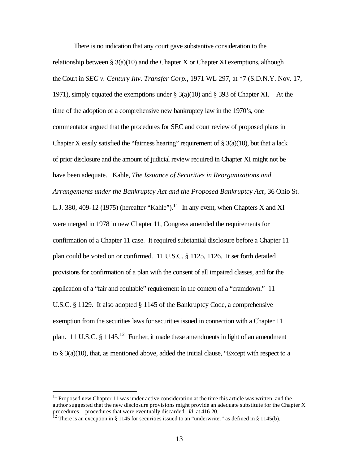There is no indication that any court gave substantive consideration to the relationship between §  $3(a)(10)$  and the Chapter X or Chapter XI exemptions, although the Court in *SEC v. Century Inv. Transfer Corp.*, 1971 WL 297, at \*7 (S.D.N.Y. Nov. 17, 1971), simply equated the exemptions under § 3(a)(10) and § 393 of Chapter XI. At the time of the adoption of a comprehensive new bankruptcy law in the 1970's, one commentator argued that the procedures for SEC and court review of proposed plans in Chapter X easily satisfied the "fairness hearing" requirement of  $\S$  3(a)(10), but that a lack of prior disclosure and the amount of judicial review required in Chapter XI might not be have been adequate. Kahle, *The Issuance of Securities in Reorganizations and Arrangements under the Bankruptcy Act and the Proposed Bankruptcy Act*, 36 Ohio St. L.J. 380, 409-12 (1975) (hereafter "Kahle").<sup>11</sup> In any event, when Chapters X and XI were merged in 1978 in new Chapter 11, Congress amended the requirements for confirmation of a Chapter 11 case. It required substantial disclosure before a Chapter 11 plan could be voted on or confirmed. 11 U.S.C. § 1125, 1126. It set forth detailed provisions for confirmation of a plan with the consent of all impaired classes, and for the application of a "fair and equitable" requirement in the context of a "cramdown." 11 U.S.C. § 1129. It also adopted § 1145 of the Bankruptcy Code, a comprehensive exemption from the securities laws for securities issued in connection with a Chapter 11 plan. 11 U.S.C.  $\S$  1145.<sup>12</sup> Further, it made these amendments in light of an amendment to  $\S$  3(a)(10), that, as mentioned above, added the initial clause, "Except with respect to a

 $11$  Proposed new Chapter 11 was under active consideration at the time this article was written, and the author suggested that the new disclosure provisions might provide an adequate substitute for the Chapter X procedures -- procedures that were eventually discarded. *Id*. at 416-20.

<sup>&</sup>lt;sup>12</sup> There is an exception in § 1145 for securities issued to an "underwriter" as defined in § 1145(b).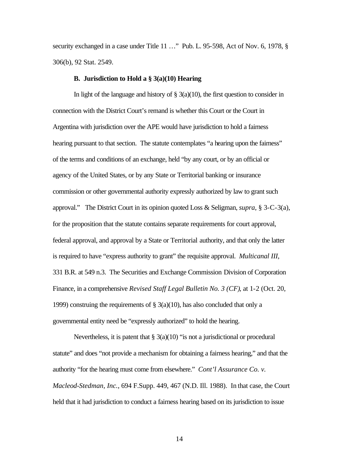security exchanged in a case under Title 11 ..." Pub. L. 95-598, Act of Nov. 6, 1978, § 306(b), 92 Stat. 2549.

#### **B. Jurisdiction to Hold a § 3(a)(10) Hearing**

In light of the language and history of  $\S$  3(a)(10), the first question to consider in connection with the District Court's remand is whether this Court or the Court in Argentina with jurisdiction over the APE would have jurisdiction to hold a fairness hearing pursuant to that section. The statute contemplates "a hearing upon the fairness" of the terms and conditions of an exchange, held "by any court, or by an official or agency of the United States, or by any State or Territorial banking or insurance commission or other governmental authority expressly authorized by law to grant such approval." The District Court in its opinion quoted Loss & Seligman, *supra*, § 3-C-3(a), for the proposition that the statute contains separate requirements for court approval, federal approval, and approval by a State or Territorial authority, and that only the latter is required to have "express authority to grant" the requisite approval. *Multicanal III*, 331 B.R. at 549 n.3. The Securities and Exchange Commission Division of Corporation Finance, in a comprehensive *Revised Staff Legal Bulletin No. 3 (CF)*, at 1-2 (Oct. 20, 1999) construing the requirements of  $\S 3(a)(10)$ , has also concluded that only a governmental entity need be "expressly authorized" to hold the hearing.

Nevertheless, it is patent that  $\S 3(a)(10)$  "is not a jurisdictional or procedural statute" and does "not provide a mechanism for obtaining a fairness hearing," and that the authority "for the hearing must come from elsewhere." *Cont'l Assurance Co. v. Macleod-Stedman, Inc.*, 694 F.Supp. 449, 467 (N.D. Ill. 1988). In that case, the Court held that it had jurisdiction to conduct a fairness hearing based on its jurisdiction to issue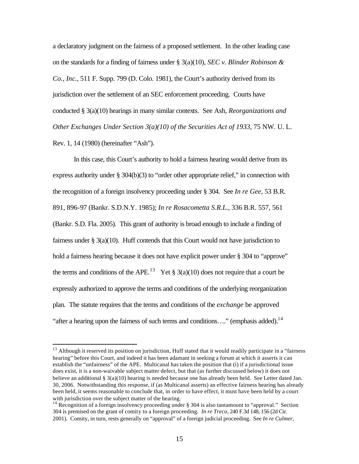a declaratory judgment on the fairness of a proposed settlement. In the other leading case on the standards for a finding of fairness under § 3(a)(10), *SEC v. Blinder Robinson & Co., Inc.*, 511 F. Supp. 799 (D. Colo. 1981), the Court's authority derived from its jurisdiction over the settlement of an SEC enforcement proceeding. Courts have conducted § 3(a)(10) hearings in many similar contexts. See Ash, *Reorganizations and Other Exchanges Under Section 3(a)(10) of the Securities Act of 1933*, 75 NW. U. L. Rev. 1, 14 (1980) (hereinafter "Ash").

In this case, this Court's authority to hold a fairness hearing would derive from its express authority under § 304(b)(3) to "order other appropriate relief," in connection with the recognition of a foreign insolvency proceeding under § 304. See *In re Gee*, 53 B.R. 891, 896-97 (Bankr. S.D.N.Y. 1985); *In re Rosacometta S.R.L.*, 336 B.R. 557, 561 (Bankr. S.D. Fla. 2005). This grant of authority is broad enough to include a finding of fairness under  $\S 3(a)(10)$ . Huff contends that this Court would not have jurisdiction to hold a fairness hearing because it does not have explicit power under § 304 to "approve" the terms and conditions of the APE.<sup>13</sup> Yet § 3(a)(10) does not require that a court be expressly authorized to approve the terms and conditions of the underlying reorganization plan. The statute requires that the terms and conditions of the *exchange* be approved "after a hearing upon the fairness of such terms and conditions...." (emphasis added).<sup>14</sup>

<sup>&</sup>lt;sup>13</sup> Although it reserved its position on jurisdiction, Huff stated that it would readily participate in a "fairness" hearing" before this Court, and indeed it has been adamant in seeking a forum at which it asserts it can establish the "unfairness" of the APE. Multicanal has taken the position that (i) if a jurisdictional issue does exist, it is a non-waivable subject matter defect, but that (as further discussed below) it does not believe an additional § 3(a)(10) hearing is needed because one has already been held. See Letter dated Jan. 30, 2006. Notwithstanding this response, if (as Multicanal asserts) an effective fairness hearing has already been held, it seems reasonable to conclude that, in order to have effect, it must have been held by a court with jurisdiction over the subject matter of the hearing.

<sup>&</sup>lt;sup>14</sup> Recognition of a foreign insolvency proceeding under  $\S 304$  is also tantamount to "approval." Section 304 is premised on the grant of comity to a foreign proceeding. *In re Treco*, 240 F.3d 148, 156 (2d Cir. 2001). Comity, in turn, rests generally on "approval" of a foreign judicial proceeding. See *In re Culmer,*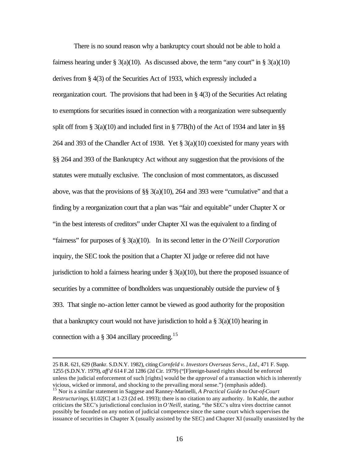There is no sound reason why a bankruptcy court should not be able to hold a fairness hearing under § 3(a)(10). As discussed above, the term "any court" in § 3(a)(10) derives from § 4(3) of the Securities Act of 1933, which expressly included a reorganization court. The provisions that had been in § 4(3) of the Securities Act relating to exemptions for securities issued in connection with a reorganization were subsequently split off from § 3(a)(10) and included first in § 77B(h) of the Act of 1934 and later in §§ 264 and 393 of the Chandler Act of 1938. Yet § 3(a)(10) coexisted for many years with §§ 264 and 393 of the Bankruptcy Act without any suggestion that the provisions of the statutes were mutually exclusive. The conclusion of most commentators, as discussed above, was that the provisions of  $\S$   $\S$   $3(a)(10)$ , 264 and 393 were "cumulative" and that a finding by a reorganization court that a plan was "fair and equitable" under Chapter X or "in the best interests of creditors" under Chapter XI was the equivalent to a finding of "fairness" for purposes of § 3(a)(10). In its second letter in the *O'Neill Corporation* inquiry, the SEC took the position that a Chapter XI judge or referee did not have jurisdiction to hold a fairness hearing under  $\S$  3(a)(10), but there the proposed issuance of securities by a committee of bondholders was unquestionably outside the purview of § 393. That single no-action letter cannot be viewed as good authority for the proposition that a bankruptcy court would not have jurisdiction to hold a  $\S$  3(a)(10) hearing in connection with a  $\S 304$  ancillary proceeding.<sup>15</sup>

<sup>25</sup> B.R. 621, 629 (Bankr. S.D.N.Y. 1982), citing *Cornfeld v. Investors Overseas Servs., Ltd.*, 471 F. Supp. 1255 (S.D.N.Y. 1979), *aff'd* 614 F.2d 1286 (2d Cir. 1979) ("[F]oreign-based rights should be enforced unless the judicial enforcement of such [rights] would be the *approval* of a transaction which is inherently vicious, wicked or immoral, and shocking to the prevailing moral sense.") (emphasis added). <sup>15</sup> Nor is a similar statement in Saggese and Ranney-Marinelli, *A Practical Guide to Out-of-Court* 

*Restructurings*, §1.02[C] at 1-23 (2d ed. 1993); there is no citation to any authority. In Kahle, the author criticizes the SEC's jurisdictional conclusion in *O'Neill*, stating, "the SEC's ultra vires doctrine cannot possibly be founded on any notion of judicial competence since the same court which supervises the issuance of securities in Chapter X (usually assisted by the SEC) and Chapter XI (usually unassisted by the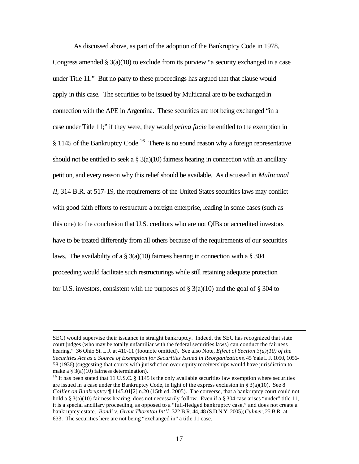As discussed above, as part of the adoption of the Bankruptcy Code in 1978, Congress amended  $\S 3(a)(10)$  to exclude from its purview "a security exchanged in a case under Title 11." But no party to these proceedings has argued that that clause would apply in this case. The securities to be issued by Multicanal are to be exchanged in connection with the APE in Argentina. These securities are not being exchanged "in a case under Title 11;" if they were, they would *prima facie* be entitled to the exemption in  $§$  1145 of the Bankruptcy Code.<sup>16</sup> There is no sound reason why a foreign representative should not be entitled to seek a  $\S$  3(a)(10) fairness hearing in connection with an ancillary petition, and every reason why this relief should be available. As discussed in *Multicanal II*, 314 B.R. at 517-19, the requirements of the United States securities laws may conflict with good faith efforts to restructure a foreign enterprise, leading in some cases (such as this one) to the conclusion that U.S. creditors who are not QIBs or accredited investors have to be treated differently from all others because of the requirements of our securities laws. The availability of a  $\S$  3(a)(10) fairness hearing in connection with a  $\S$  304 proceeding would facilitate such restructurings while still retaining adequate protection for U.S. investors, consistent with the purposes of  $\S$  3(a)(10) and the goal of  $\S$  304 to

SEC) would supervise their issuance in straight bankruptcy. Indeed, the SEC has recognized that state court judges (who may be totally unfamiliar with the federal securities laws) can conduct the fairness hearing." 36 Ohio St. L.J. at 410-11 (footnote omitted). See also Note, *Effect of Section 3(a)(10) of the Securities Act as a Source of Exemption for Securities Issued in Reorganizations*, 45 Yale L.J. 1050, 1056- 58 (1936) (suggesting that courts with jurisdiction over equity receiverships would have jurisdiction to make a § 3(a)(10) fairness determination).

<sup>&</sup>lt;sup>16</sup> It has been stated that 11 U.S.C.  $\S$  1145 is the only available securities law exemption where securities are issued in a case under the Bankruptcy Code, in light of the express exclusion in  $\S$  3(a)(10). See 8 *Collier on Bankruptcy* ¶ 1145.01[2] n.20 (15th ed. 2005). The converse, that a bankruptcy court could not hold a § 3(a)(10) fairness hearing, does not necessarily follow. Even if a § 304 case arises "under" title 11, it is a special ancillary proceeding, as opposed to a "full-fledged bankruptcy case," and does not create a bankruptcy estate. *Bondi v. Grant Thornton Int'l*, 322 B.R. 44, 48 (S.D.N.Y. 2005); *Culmer*, 25 B.R. at 633. The securities here are not being "exchanged in" a title 11 case.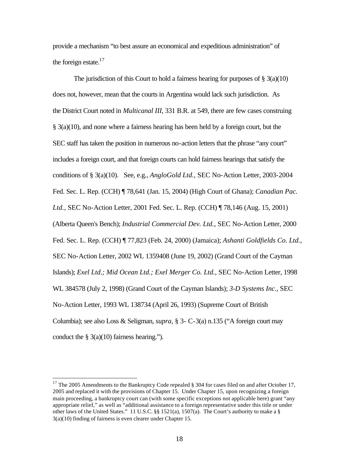provide a mechanism "to best assure an economical and expeditious administration" of the foreign estate. $17$ 

The jurisdiction of this Court to hold a fairness hearing for purposes of  $\S$  3(a)(10) does not, however, mean that the courts in Argentina would lack such jurisdiction. As the District Court noted in *Multicanal III*, 331 B.R. at 549, there are few cases construing § 3(a)(10), and none where a fairness hearing has been held by a foreign court, but the SEC staff has taken the position in numerous no-action letters that the phrase "any court" includes a foreign court, and that foreign courts can hold fairness hearings that satisfy the conditions of § 3(a)(10). See, e.g., *AngloGold Ltd.*, SEC No-Action Letter, 2003-2004 Fed. Sec. L. Rep. (CCH) ¶ 78,641 (Jan. 15, 2004) (High Court of Ghana); *Canadian Pac. Ltd.*, SEC No-Action Letter, 2001 Fed. Sec. L. Rep. (CCH) ¶ 78,146 (Aug. 15, 2001) (Alberta Queen's Bench); *Industrial Commercial Dev. Ltd.*, SEC No-Action Letter, 2000 Fed. Sec. L. Rep. (CCH) ¶ 77,823 (Feb. 24, 2000) (Jamaica); *Ashanti Goldfields Co. Ltd.*, SEC No-Action Letter, 2002 WL 1359408 (June 19, 2002) (Grand Court of the Cayman Islands); *Exel Ltd.; Mid Ocean Ltd.; Exel Merger Co. Ltd.*, SEC No-Action Letter, 1998 WL 384578 (July 2, 1998) (Grand Court of the Cayman Islands); *3-D Systems Inc.*, SEC No-Action Letter, 1993 WL 138734 (April 26, 1993) (Supreme Court of British Columbia); see also Loss & Seligman, *supra,* § 3- C-3(a) n.135 ("A foreign court may conduct the  $\S$  3(a)(10) fairness hearing.").

<sup>&</sup>lt;sup>17</sup> The 2005 Amendments to the Bankruptcy Code repealed  $\S 304$  for cases filed on and after October 17, 2005 and replaced it with the provisions of Chapter 15. Under Chapter 15, upon recognizing a foreign main proceeding, a bankruptcy court can (with some specific exceptions not applicable here) grant "any appropriate relief," as well as "additional assistance to a foreign representative under this title or under other laws of the United States." 11 U.S.C. §§ 1521(a), 1507(a). The Court's authority to make a § 3(a)(10) finding of fairness is even clearer under Chapter 15.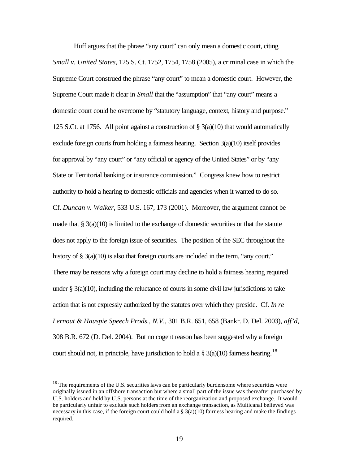Huff argues that the phrase "any court" can only mean a domestic court, citing *Small v. United States*, 125 S. Ct. 1752, 1754, 1758 (2005), a criminal case in which the Supreme Court construed the phrase "any court" to mean a domestic court. However, the Supreme Court made it clear in *Small* that the "assumption" that "any court" means a domestic court could be overcome by "statutory language, context, history and purpose." 125 S.Ct. at 1756. All point against a construction of  $\S$  3(a)(10) that would automatically exclude foreign courts from holding a fairness hearing. Section  $3(a)(10)$  itself provides for approval by "any court" or "any official or agency of the United States" or by "any State or Territorial banking or insurance commission." Congress knew how to restrict authority to hold a hearing to domestic officials and agencies when it wanted to do so. Cf. *Duncan v. Walker*, 533 U.S. 167, 173 (2001). Moreover, the argument cannot be made that  $\S$  3(a)(10) is limited to the exchange of domestic securities or that the statute does not apply to the foreign issue of securities. The position of the SEC throughout the history of  $\S 3(a)(10)$  is also that foreign courts are included in the term, "any court." There may be reasons why a foreign court may decline to hold a fairness hearing required under  $\S$  3(a)(10), including the reluctance of courts in some civil law jurisdictions to take action that is not expressly authorized by the statutes over which they preside. Cf. *In re Lernout & Hauspie Speech Prods., N.V.*, 301 B.R. 651, 658 (Bankr. D. Del. 2003), *aff'd*, 308 B.R. 672 (D. Del. 2004). But no cogent reason has been suggested why a foreign court should not, in principle, have jurisdiction to hold a  $\S$  3(a)(10) fairness hearing.<sup>18</sup>

<sup>&</sup>lt;sup>18</sup> The requirements of the U.S. securities laws can be particularly burdensome where securities were originally issued in an offshore transaction but where a small part of the issue was thereafter purchased by U.S. holders and held by U.S. persons at the time of the reorganization and proposed exchange. It would be particularly unfair to exclude such holders from an exchange transaction, as Multicanal believed was necessary in this case, if the foreign court could hold a  $\S$  3(a)(10) fairness hearing and make the findings required.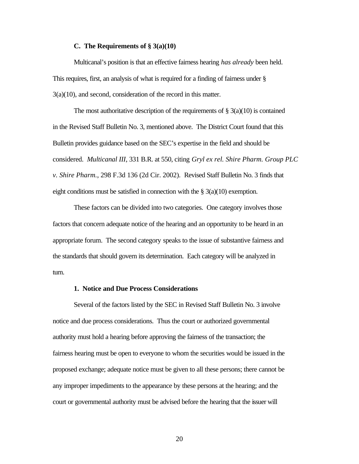#### **C. The Requirements of § 3(a)(10)**

Multicanal's position is that an effective fairness hearing *has already* been held. This requires, first, an analysis of what is required for a finding of fairness under § 3(a)(10), and second, consideration of the record in this matter.

The most authoritative description of the requirements of  $\S$  3(a)(10) is contained in the Revised Staff Bulletin No. 3, mentioned above. The District Court found that this Bulletin provides guidance based on the SEC's expertise in the field and should be considered. *Multicanal III*, 331 B.R. at 550, citing *Gryl ex rel. Shire Pharm. Group PLC v. Shire Pharm.*, 298 F.3d 136 (2d Cir. 2002). Revised Staff Bulletin No. 3 finds that eight conditions must be satisfied in connection with the  $\S$  3(a)(10) exemption.

These factors can be divided into two categories. One category involves those factors that concern adequate notice of the hearing and an opportunity to be heard in an appropriate forum. The second category speaks to the issue of substantive fairness and the standards that should govern its determination. Each category will be analyzed in turn.

### **1. Notice and Due Process Considerations**

Several of the factors listed by the SEC in Revised Staff Bulletin No. 3 involve notice and due process considerations. Thus the court or authorized governmental authority must hold a hearing before approving the fairness of the transaction; the fairness hearing must be open to everyone to whom the securities would be issued in the proposed exchange; adequate notice must be given to all these persons; there cannot be any improper impediments to the appearance by these persons at the hearing; and the court or governmental authority must be advised before the hearing that the issuer will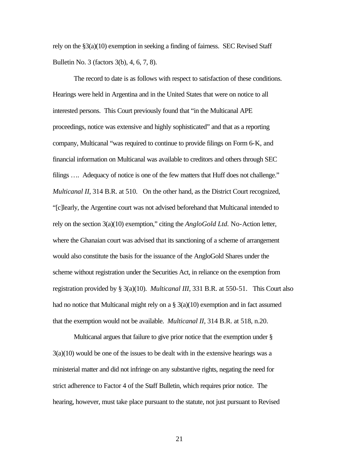rely on the §3(a)(10) exemption in seeking a finding of fairness. SEC Revised Staff Bulletin No. 3 (factors 3(b), 4, 6, 7, 8).

The record to date is as follows with respect to satisfaction of these conditions. Hearings were held in Argentina and in the United States that were on notice to all interested persons. This Court previously found that "in the Multicanal APE proceedings, notice was extensive and highly sophisticated" and that as a reporting company, Multicanal "was required to continue to provide filings on Form 6-K, and financial information on Multicanal was available to creditors and others through SEC filings .... Adequacy of notice is one of the few matters that Huff does not challenge." *Multicanal II*, 314 B.R. at 510. On the other hand, as the District Court recognized, "[c]learly, the Argentine court was not advised beforehand that Multicanal intended to rely on the section 3(a)(10) exemption," citing the *AngloGold Ltd.* No-Action letter, where the Ghanaian court was advised that its sanctioning of a scheme of arrangement would also constitute the basis for the issuance of the AngloGold Shares under the scheme without registration under the Securities Act, in reliance on the exemption from registration provided by § 3(a)(10). *Multicanal III*, 331 B.R. at 550-51. This Court also had no notice that Multicanal might rely on a  $\S$  3(a)(10) exemption and in fact assumed that the exemption would not be available. *Multicanal II*, 314 B.R. at 518, n.20.

Multicanal argues that failure to give prior notice that the exemption under §  $3(a)(10)$  would be one of the issues to be dealt with in the extensive hearings was a ministerial matter and did not infringe on any substantive rights, negating the need for strict adherence to Factor 4 of the Staff Bulletin, which requires prior notice. The hearing, however, must take place pursuant to the statute, not just pursuant to Revised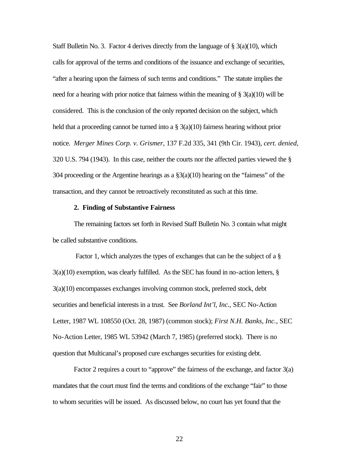Staff Bulletin No. 3. Factor 4 derives directly from the language of  $\S$  3(a)(10), which calls for approval of the terms and conditions of the issuance and exchange of securities, "after a hearing upon the fairness of such terms and conditions." The statute implies the need for a hearing with prior notice that fairness within the meaning of  $\S 3(a)(10)$  will be considered. This is the conclusion of the only reported decision on the subject, which held that a proceeding cannot be turned into a  $\S$  3(a)(10) fairness hearing without prior notice. *Merger Mines Corp. v. Grismer*, 137 F.2d 335, 341 (9th Cir. 1943), *cert. denied*, 320 U.S. 794 (1943). In this case, neither the courts nor the affected parties viewed the § 304 proceeding or the Argentine hearings as a §3(a)(10) hearing on the "fairness" of the transaction, and they cannot be retroactively reconstituted as such at this time.

#### **2. Finding of Substantive Fairness**

The remaining factors set forth in Revised Staff Bulletin No. 3 contain what might be called substantive conditions.

 Factor 1, which analyzes the types of exchanges that can be the subject of a §  $3(a)(10)$  exemption, was clearly fulfilled. As the SEC has found in no-action letters,  $\S$ 3(a)(10) encompasses exchanges involving common stock, preferred stock, debt securities and beneficial interests in a trust. See *Borland Int'l, Inc.*, SEC No-Action Letter, 1987 WL 108550 (Oct. 28, 1987) (common stock); *First N.H. Banks, Inc.*, SEC No-Action Letter, 1985 WL 53942 (March 7, 1985) (preferred stock). There is no question that Multicanal's proposed cure exchanges securities for existing debt.

Factor 2 requires a court to "approve" the fairness of the exchange, and factor 3(a) mandates that the court must find the terms and conditions of the exchange "fair" to those to whom securities will be issued. As discussed below, no court has yet found that the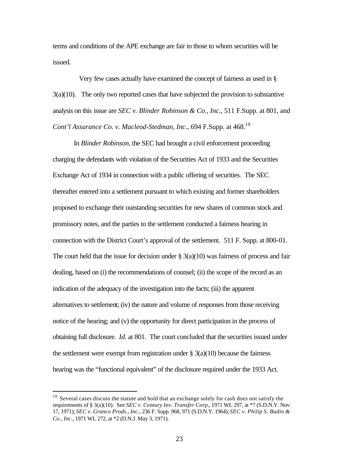terms and conditions of the APE exchange are fair to those to whom securities will be issued.

 Very few cases actually have examined the concept of fairness as used in § 3(a)(10). The only two reported cases that have subjected the provision to substantive analysis on this issue are *SEC v. Blinder Robinson & Co., Inc.*, 511 F.Supp. at 801, and *Cont'l Assurance Co. v. Macleod-Stedman, Inc.*, 694 F.Supp. at 468.<sup>19</sup>

In *Blinder Robinson*, the SEC had brought a civil enforcement proceeding charging the defendants with violation of the Securities Act of 1933 and the Securities Exchange Act of 1934 in connection with a public offering of securities. The SEC thereafter entered into a settlement pursuant to which existing and former shareholders proposed to exchange their outstanding securities for new shares of common stock and promissory notes, and the parties to the settlement conducted a fairness hearing in connection with the District Court's approval of the settlement. 511 F. Supp. at 800-01. The court held that the issue for decision under  $\S$  3(a)(10) was fairness of process and fair dealing, based on (i) the recommendations of counsel; (ii) the scope of the record as an indication of the adequacy of the investigation into the facts; (iii) the apparent alternatives to settlement; (iv) the nature and volume of responses from those receiving notice of the hearing; and (v) the opportunity for direct participation in the process of obtaining full disclosure. *Id*. at 801. The court concluded that the securities issued under the settlement were exempt from registration under  $\S$  3(a)(10) because the fairness hearing was the "functional equivalent" of the disclosure required under the 1933 Act.

<sup>&</sup>lt;sup>19</sup> Several cases discuss the statute and hold that an exchange solely for cash does not satisfy the requirements of § 3(a)(10). See *SEC v. Century Inv. Transfer Corp.*, 1971 WL 297, at \*7 (S.D.N.Y. Nov. 17, 1971); *SEC v. Granco Prods., Inc.*, 236 F. Supp. 968, 971 (S.D.N.Y. 1964); *SEC v. Philip S. Budin & Co., Inc.*, 1971 WL 272, at \*2 (D.N.J. May 3, 1971).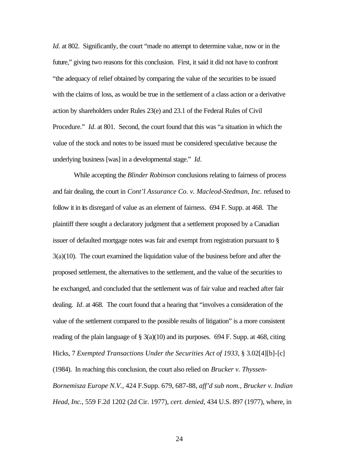*Id*. at 802. Significantly, the court "made no attempt to determine value, now or in the future," giving two reasons for this conclusion. First, it said it did not have to confront "the adequacy of relief obtained by comparing the value of the securities to be issued with the claims of loss, as would be true in the settlement of a class action or a derivative action by shareholders under Rules 23(e) and 23.1 of the Federal Rules of Civil Procedure." *Id*. at 801. Second, the court found that this was "a situation in which the value of the stock and notes to be issued must be considered speculative because the underlying business [was] in a developmental stage." *Id*.

While accepting the *Blinder Robinson* conclusions relating to fairness of process and fair dealing, the court in *Cont'l Assurance Co. v. Macleod-Stedman, Inc.* refused to follow it in its disregard of value as an element of fairness. 694 F. Supp. at 468. The plaintiff there sought a declaratory judgment that a settlement proposed by a Canadian issuer of defaulted mortgage notes was fair and exempt from registration pursuant to § 3(a)(10). The court examined the liquidation value of the business before and after the proposed settlement, the alternatives to the settlement, and the value of the securities to be exchanged, and concluded that the settlement was of fair value and reached after fair dealing. *Id*. at 468. The court found that a hearing that "involves a consideration of the value of the settlement compared to the possible results of litigation" is a more consistent reading of the plain language of  $\S 3(a)(10)$  and its purposes. 694 F. Supp. at 468, citing Hicks, 7 *Exempted Transactions Under the Securities Act of 1933*, § 3.02[4][b]-[c]

*Bornemisza Europe N.V.*, 424 F.Supp. 679, 687-88, *aff'd sub nom., Brucker v. Indian Head, Inc.*, 559 F.2d 1202 (2d Cir. 1977), *cert. denied*, 434 U.S. 897 (1977), where, in

(1984). In reaching this conclusion, the court also relied on *Brucker v. Thyssen-*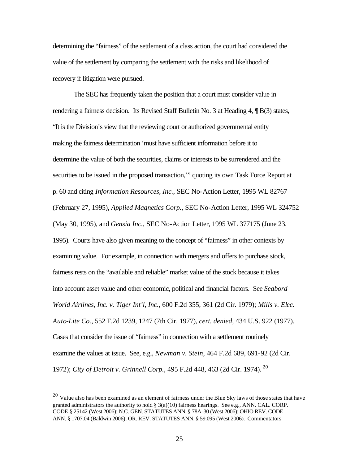determining the "fairness" of the settlement of a class action, the court had considered the value of the settlement by comparing the settlement with the risks and likelihood of recovery if litigation were pursued.

The SEC has frequently taken the position that a court must consider value in rendering a fairness decision. Its Revised Staff Bulletin No. 3 at Heading 4, ¶ B(3) states, "It is the Division's view that the reviewing court or authorized governmental entity making the fairness determination 'must have sufficient information before it to determine the value of both the securities, claims or interests to be surrendered and the securities to be issued in the proposed transaction," quoting its own Task Force Report at p. 60 and citing *Information Resources, Inc.*, SEC No-Action Letter, 1995 WL 82767 (February 27, 1995), *Applied Magnetics Corp.*, SEC No-Action Letter, 1995 WL 324752 (May 30, 1995), and *Gensia Inc.*, SEC No-Action Letter, 1995 WL 377175 (June 23, 1995). Courts have also given meaning to the concept of "fairness" in other contexts by examining value. For example, in connection with mergers and offers to purchase stock, fairness rests on the "available and reliable" market value of the stock because it takes into account asset value and other economic, political and financial factors. See *Seabord World Airlines, Inc. v. Tiger Int'l, Inc.*, 600 F.2d 355, 361 (2d Cir. 1979); *Mills v. Elec. Auto-Lite Co.*, 552 F.2d 1239, 1247 (7th Cir. 1977), *cert. denied*, 434 U.S. 922 (1977). Cases that consider the issue of "fairness" in connection with a settlement routinely examine the values at issue. See, e.g., *Newman v. Stein*, 464 F.2d 689, 691-92 (2d Cir. 1972); *City of Detroit v. Grinnell Corp.*, 495 F.2d 448, 463 (2d Cir. 1974). <sup>20</sup>

 $20$  Value also has been examined as an element of fairness under the Blue Sky laws of those states that have granted administrators the authority to hold  $\S 3(a)(10)$  fairness hearings. See e.g., ANN. CAL. CORP. CODE § 25142 (West 2006); N.C. GEN. STATUTES ANN. § 78A-30 (West 2006); OHIO REV. CODE ANN. § 1707.04 (Baldwin 2006); OR. REV. STATUTES ANN. § 59.095 (West 2006). Commentators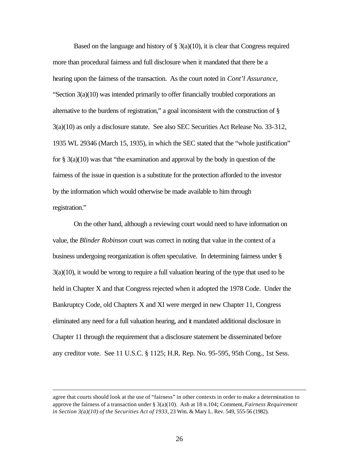Based on the language and history of  $\S 3(a)(10)$ , it is clear that Congress required more than procedural fairness and full disclosure when it mandated that there be a hearing upon the fairness of the transaction. As the court noted in *Cont'l Assurance*, "Section 3(a)(10) was intended primarily to offer financially troubled corporations an alternative to the burdens of registration," a goal inconsistent with the construction of § 3(a)(10) as only a disclosure statute. See also SEC Securities Act Release No. 33-312, 1935 WL 29346 (March 15, 1935), in which the SEC stated that the "whole justification" for  $\S 3(a)(10)$  was that "the examination and approval by the body in question of the fairness of the issue in question is a substitute for the protection afforded to the investor by the information which would otherwise be made available to him through registration."

On the other hand, although a reviewing court would need to have information on value, the *Blinder Robinson* court was correct in noting that value in the context of a business undergoing reorganization is often speculative. In determining fairness under § 3(a)(10), it would be wrong to require a full valuation hearing of the type that used to be held in Chapter X and that Congress rejected when it adopted the 1978 Code. Under the Bankruptcy Code, old Chapters X and XI were merged in new Chapter 11, Congress eliminated any need for a full valuation hearing, and it mandated additional disclosure in Chapter 11 through the requirement that a disclosure statement be disseminated before any creditor vote. See 11 U.S.C. § 1125; H.R. Rep. No. 95-595, 95th Cong., 1st Sess.

agree that courts should look at the use of "fairness" in other contexts in order to make a determination to approve the fairness of a transaction under § 3(a)(10). Ash at 18 n.104; Comment, *Fairness Requirement in Section 3(a)(10) of the Securities Act of 1933*, 23 Wm. & Mary L. Rev. 549, 555-56 (1982).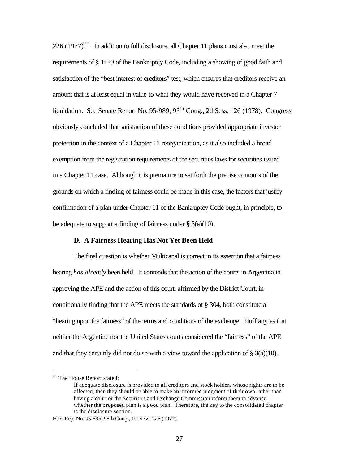226 (1977).<sup>21</sup> In addition to full disclosure, all Chapter 11 plans must also meet the requirements of § 1129 of the Bankruptcy Code, including a showing of good faith and satisfaction of the "best interest of creditors" test, which ensures that creditors receive an amount that is at least equal in value to what they would have received in a Chapter 7 liquidation. See Senate Report No.  $95-989$ ,  $95<sup>th</sup>$  Cong., 2d Sess. 126 (1978). Congress obviously concluded that satisfaction of these conditions provided appropriate investor protection in the context of a Chapter 11 reorganization, as it also included a broad exemption from the registration requirements of the securities laws for securities issued in a Chapter 11 case. Although it is premature to set forth the precise contours of the grounds on which a finding of fairness could be made in this case, the factors that justify confirmation of a plan under Chapter 11 of the Bankruptcy Code ought, in principle, to be adequate to support a finding of fairness under  $\S$  3(a)(10).

### **D. A Fairness Hearing Has Not Yet Been Held**

The final question is whether Multicanal is correct in its assertion that a fairness hearing *has already* been held. It contends that the action of the courts in Argentina in approving the APE and the action of this court, affirmed by the District Court, in conditionally finding that the APE meets the standards of § 304, both constitute a "hearing upon the fairness" of the terms and conditions of the exchange. Huff argues that neither the Argentine nor the United States courts considered the "fairness" of the APE and that they certainly did not do so with a view toward the application of  $\S 3(a)(10)$ .

<sup>&</sup>lt;sup>21</sup> The House Report stated:

If adequate disclosure is provided to all creditors and stock holders whose rights are to be affected, then they should be able to make an informed judgment of their own rather than having a court or the Securities and Exchange Commission inform them in advance whether the proposed plan is a good plan. Therefore, the key to the consolidated chapter is the disclosure section.

H.R. Rep. No. 95-595, 95th Cong., 1st Sess. 226 (1977).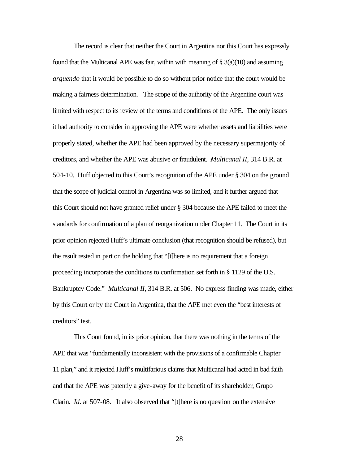The record is clear that neither the Court in Argentina nor this Court has expressly found that the Multicanal APE was fair, within with meaning of  $\S$  3(a)(10) and assuming *arguendo* that it would be possible to do so without prior notice that the court would be making a fairness determination. The scope of the authority of the Argentine court was limited with respect to its review of the terms and conditions of the APE. The only issues it had authority to consider in approving the APE were whether assets and liabilities were properly stated, whether the APE had been approved by the necessary supermajority of creditors, and whether the APE was abusive or fraudulent. *Multicanal II*, 314 B.R. at 504-10. Huff objected to this Court's recognition of the APE under § 304 on the ground that the scope of judicial control in Argentina was so limited, and it further argued that this Court should not have granted relief under § 304 because the APE failed to meet the standards for confirmation of a plan of reorganization under Chapter 11. The Court in its prior opinion rejected Huff's ultimate conclusion (that recognition should be refused), but the result rested in part on the holding that "[t]here is no requirement that a foreign proceeding incorporate the conditions to confirmation set forth in § 1129 of the U.S. Bankruptcy Code." *Multicanal II*, 314 B.R. at 506. No express finding was made, either by this Court or by the Court in Argentina, that the APE met even the "best interests of creditors" test.

This Court found, in its prior opinion, that there was nothing in the terms of the APE that was "fundamentally inconsistent with the provisions of a confirmable Chapter 11 plan," and it rejected Huff's multifarious claims that Multicanal had acted in bad faith and that the APE was patently a give-away for the benefit of its shareholder, Grupo Clarin. *Id*. at 507-08. It also observed that "[t]here is no question on the extensive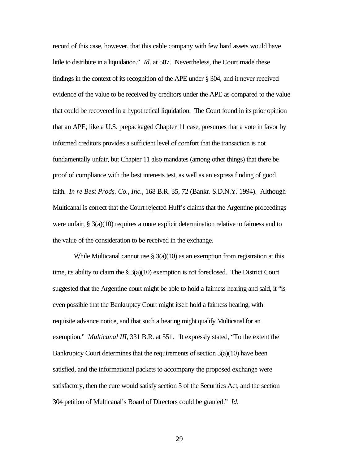record of this case, however, that this cable company with few hard assets would have little to distribute in a liquidation." *Id*. at 507. Nevertheless, the Court made these findings in the context of its recognition of the APE under § 304, and it never received evidence of the value to be received by creditors under the APE as compared to the value that could be recovered in a hypothetical liquidation. The Court found in its prior opinion that an APE, like a U.S. prepackaged Chapter 11 case, presumes that a vote in favor by informed creditors provides a sufficient level of comfort that the transaction is not fundamentally unfair, but Chapter 11 also mandates (among other things) that there be proof of compliance with the best interests test, as well as an express finding of good faith. *In re Best Prods. Co., Inc.*, 168 B.R. 35, 72 (Bankr. S.D.N.Y. 1994). Although Multicanal is correct that the Court rejected Huff's claims that the Argentine proceedings were unfair,  $\S$  3(a)(10) requires a more explicit determination relative to fairness and to the value of the consideration to be received in the exchange.

While Multicanal cannot use  $\S 3(a)(10)$  as an exemption from registration at this time, its ability to claim the  $\S$  3(a)(10) exemption is not foreclosed. The District Court suggested that the Argentine court might be able to hold a fairness hearing and said, it "is even possible that the Bankruptcy Court might itself hold a fairness hearing, with requisite advance notice, and that such a hearing might qualify Multicanal for an exemption." *Multicanal III*, 331 B.R. at 551. It expressly stated, "To the extent the Bankruptcy Court determines that the requirements of section 3(a)(10) have been satisfied, and the informational packets to accompany the proposed exchange were satisfactory, then the cure would satisfy section 5 of the Securities Act, and the section 304 petition of Multicanal's Board of Directors could be granted." *Id*.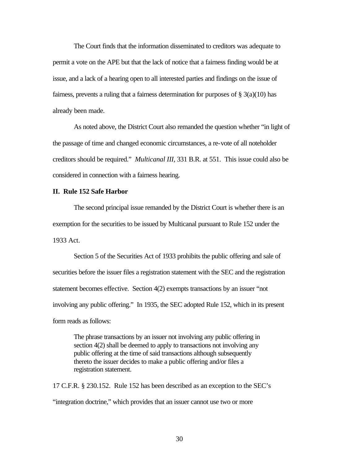The Court finds that the information disseminated to creditors was adequate to permit a vote on the APE but that the lack of notice that a fairness finding would be at issue, and a lack of a hearing open to all interested parties and findings on the issue of fairness, prevents a ruling that a fairness determination for purposes of  $\S 3(a)(10)$  has already been made.

As noted above, the District Court also remanded the question whether "in light of the passage of time and changed economic circumstances, a re-vote of all noteholder creditors should be required." *Multicanal III*, 331 B.R. at 551. This issue could also be considered in connection with a fairness hearing.

#### **II. Rule 152 Safe Harbor**

The second principal issue remanded by the District Court is whether there is an exemption for the securities to be issued by Multicanal pursuant to Rule 152 under the 1933 Act.

Section 5 of the Securities Act of 1933 prohibits the public offering and sale of securities before the issuer files a registration statement with the SEC and the registration statement becomes effective. Section 4(2) exempts transactions by an issuer "not involving any public offering." In 1935, the SEC adopted Rule 152, which in its present form reads as follows:

The phrase transactions by an issuer not involving any public offering in section 4(2) shall be deemed to apply to transactions not involving any public offering at the time of said transactions although subsequently thereto the issuer decides to make a public offering and/or files a registration statement.

17 C.F.R. § 230.152. Rule 152 has been described as an exception to the SEC's "integration doctrine," which provides that an issuer cannot use two or more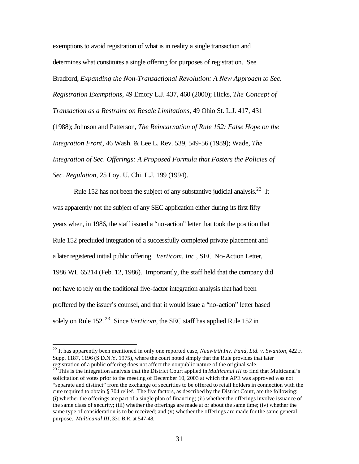exemptions to avoid registration of what is in reality a single transaction and determines what constitutes a single offering for purposes of registration. See Bradford, *Expanding the Non-Transactional Revolution: A New Approach to Sec. Registration Exemptions*, 49 Emory L.J. 437, 460 (2000); Hicks, *The Concept of Transaction as a Restraint on Resale Limitations*, 49 Ohio St. L.J. 417, 431 (1988); Johnson and Patterson, *The Reincarnation of Rule 152: False Hope on the Integration Front*, 46 Wash. & Lee L. Rev. 539, 549-56 (1989); Wade, *The Integration of Sec. Offerings: A Proposed Formula that Fosters the Policies of Sec. Regulation*, 25 Loy. U. Chi. L.J. 199 (1994).

Rule 152 has not been the subject of any substantive judicial analysis.<sup>22</sup> It was apparently not the subject of any SEC application either during its first fifty years when, in 1986, the staff issued a "no-action" letter that took the position that Rule 152 precluded integration of a successfully completed private placement and a later registered initial public offering. *Verticom, Inc.*, SEC No-Action Letter, 1986 WL 65214 (Feb. 12, 1986). Importantly, the staff held that the company did not have to rely on the traditional five-factor integration analysis that had been proffered by the issuer's counsel, and that it would issue a "no-action" letter based solely on Rule 152. <sup>23</sup> Since *Verticom*, the SEC staff has applied Rule 152 in

<sup>22</sup> It has apparently been mentioned in only one reported case, *Neuwirth Inv. Fund, Ltd. v. Swanton*, 422 F. Supp. 1187, 1196 (S.D.N.Y. 1975), where the court noted simply that the Rule provides that later registration of a public offering does not affect the nonpublic nature of the original sale.

<sup>&</sup>lt;sup>23</sup> This is the integration analysis that the District Court applied in *Multicanal III* to find that Multicanal's solicitation of votes prior to the meeting of December 10, 2003 at which the APE was approved was not "separate and distinct" from the exchange of securities to be offered to retail holders in connection with the cure required to obtain § 304 relief. The five factors, as described by the District Court, are the following: (i) whether the offerings are part of a single plan of financing; (ii) whether the offerings involve issuance of the same class of security; (iii) whether the offerings are made at or about the same time; (iv) whether the same type of consideration is to be received; and (v) whether the offerings are made for the same general purpose. *Multicanal III*, 331 B.R. at 547-48.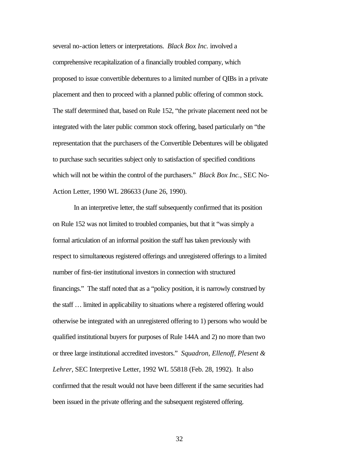several no-action letters or interpretations. *Black Box Inc.* involved a comprehensive recapitalization of a financially troubled company, which proposed to issue convertible debentures to a limited number of QIBs in a private placement and then to proceed with a planned public offering of common stock. The staff determined that, based on Rule 152, "the private placement need not be integrated with the later public common stock offering, based particularly on "the representation that the purchasers of the Convertible Debentures will be obligated to purchase such securities subject only to satisfaction of specified conditions which will not be within the control of the purchasers." *Black Box Inc.*, SEC No-Action Letter, 1990 WL 286633 (June 26, 1990).

In an interpretive letter, the staff subsequently confirmed that its position on Rule 152 was not limited to troubled companies, but that it "was simply a formal articulation of an informal position the staff has taken previously with respect to simultaneous registered offerings and unregistered offerings to a limited number of first-tier institutional investors in connection with structured financings." The staff noted that as a "policy position, it is narrowly construed by the staff … limited in applicability to situations where a registered offering would otherwise be integrated with an unregistered offering to 1) persons who would be qualified institutional buyers for purposes of Rule 144A and 2) no more than two or three large institutional accredited investors." *Squadron, Ellenoff, Plesent & Lehrer*, SEC Interpretive Letter, 1992 WL 55818 (Feb. 28, 1992). It also confirmed that the result would not have been different if the same securities had been issued in the private offering and the subsequent registered offering.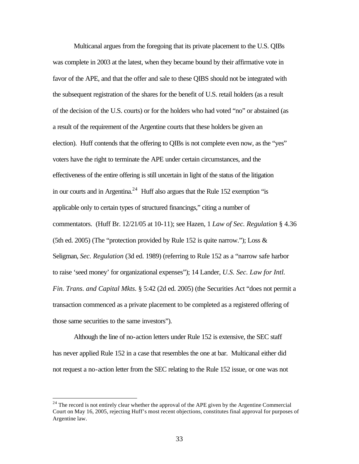Multicanal argues from the foregoing that its private placement to the U.S. QIBs was complete in 2003 at the latest, when they became bound by their affirmative vote in favor of the APE, and that the offer and sale to these QIBS should not be integrated with the subsequent registration of the shares for the benefit of U.S. retail holders (as a result of the decision of the U.S. courts) or for the holders who had voted "no" or abstained (as a result of the requirement of the Argentine courts that these holders be given an election). Huff contends that the offering to QIBs is not complete even now, as the "yes" voters have the right to terminate the APE under certain circumstances, and the effectiveness of the entire offering is still uncertain in light of the status of the litigation in our courts and in Argentina.<sup>24</sup> Huff also argues that the Rule 152 exemption "is applicable only to certain types of structured financings," citing a number of commentators. (Huff Br. 12/21/05 at 10-11); see Hazen, 1 *Law of Sec. Regulation* § 4.36 (5th ed. 2005) (The "protection provided by Rule 152 is quite narrow."); Loss  $\&$ Seligman, *Sec. Regulation* (3d ed. 1989) (referring to Rule 152 as a "narrow safe harbor to raise 'seed money' for organizational expenses"); 14 Lander, *U.S. Sec. Law for Intl. Fin. Trans. and Capital Mkts.* § 5:42 (2d ed. 2005) (the Securities Act "does not permit a transaction commenced as a private placement to be completed as a registered offering of those same securities to the same investors").

Although the line of no-action letters under Rule 152 is extensive, the SEC staff has never applied Rule 152 in a case that resembles the one at bar. Multicanal either did not request a no-action letter from the SEC relating to the Rule 152 issue, or one was not

<sup>&</sup>lt;sup>24</sup> The record is not entirely clear whether the approval of the APE given by the Argentine Commercial Court on May 16, 2005, rejecting Huff's most recent objections, constitutes final approval for purposes of Argentine law.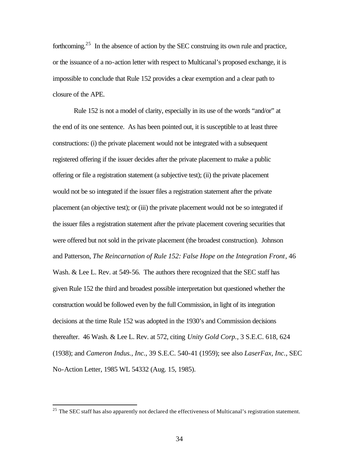forthcoming.<sup>25</sup> In the absence of action by the SEC construing its own rule and practice, or the issuance of a no-action letter with respect to Multicanal's proposed exchange, it is impossible to conclude that Rule 152 provides a clear exemption and a clear path to closure of the APE.

Rule 152 is not a model of clarity, especially in its use of the words "and/or" at the end of its one sentence. As has been pointed out, it is susceptible to at least three constructions: (i) the private placement would not be integrated with a subsequent registered offering if the issuer decides after the private placement to make a public offering or file a registration statement (a subjective test); (ii) the private placement would not be so integrated if the issuer files a registration statement after the private placement (an objective test); or (iii) the private placement would not be so integrated if the issuer files a registration statement after the private placement covering securities that were offered but not sold in the private placement (the broadest construction). Johnson and Patterson, *The Reincarnation of Rule 152: False Hope on the Integration Front*, 46 Wash. & Lee L. Rev. at 549-56. The authors there recognized that the SEC staff has given Rule 152 the third and broadest possible interpretation but questioned whether the construction would be followed even by the full Commission, in light of its integration decisions at the time Rule 152 was adopted in the 1930's and Commission decisions thereafter. 46 Wash. & Lee L. Rev. at 572, citing *Unity Gold Corp.*, 3 S.E.C. 618, 624 (1938); and *Cameron Indus., Inc.*, 39 S.E.C. 540-41 (1959); see also *LaserFax, Inc.*, SEC No-Action Letter, 1985 WL 54332 (Aug. 15, 1985).

 $25$  The SEC staff has also apparently not declared the effectiveness of Multicanal's registration statement.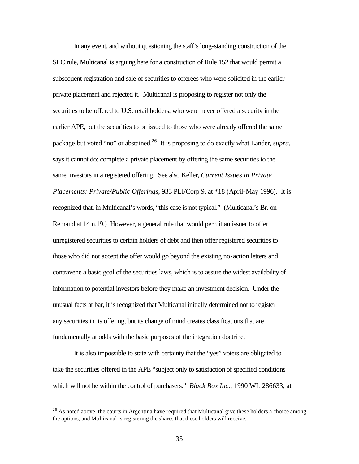In any event, and without questioning the staff's long-standing construction of the SEC rule, Multicanal is arguing here for a construction of Rule 152 that would permit a subsequent registration and sale of securities to offerees who were solicited in the earlier private placement and rejected it. Multicanal is proposing to register not only the securities to be offered to U.S. retail holders, who were never offered a security in the earlier APE, but the securities to be issued to those who were already offered the same package but voted "no" or abstained.<sup>26</sup> It is proposing to do exactly what Lander, *supra*, says it cannot do: complete a private placement by offering the same securities to the same investors in a registered offering. See also Keller, *Current Issues in Private Placements: Private/Public Offerings*, 933 PLI/Corp 9, at \*18 (April-May 1996). It is recognized that, in Multicanal's words, "this case is not typical." (Multicanal's Br. on Remand at 14 n.19.) However, a general rule that would permit an issuer to offer unregistered securities to certain holders of debt and then offer registered securities to those who did not accept the offer would go beyond the existing no-action letters and contravene a basic goal of the securities laws, which is to assure the widest availability of information to potential investors before they make an investment decision. Under the unusual facts at bar, it is recognized that Multicanal initially determined not to register any securities in its offering, but its change of mind creates classifications that are fundamentally at odds with the basic purposes of the integration doctrine.

It is also impossible to state with certainty that the "yes" voters are obligated to take the securities offered in the APE "subject only to satisfaction of specified conditions which will not be within the control of purchasers." *Black Box Inc.*, 1990 WL 286633, at

 $^{26}$  As noted above, the courts in Argentina have required that Multicanal give these holders a choice among the options, and Multicanal is registering the shares that these holders will receive.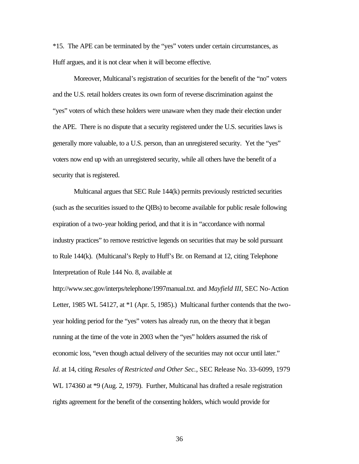\*15. The APE can be terminated by the "yes" voters under certain circumstances, as Huff argues, and it is not clear when it will become effective.

Moreover, Multicanal's registration of securities for the benefit of the "no" voters and the U.S. retail holders creates its own form of reverse discrimination against the "yes" voters of which these holders were unaware when they made their election under the APE. There is no dispute that a security registered under the U.S. securities laws is generally more valuable, to a U.S. person, than an unregistered security. Yet the "yes" voters now end up with an unregistered security, while all others have the benefit of a security that is registered.

Multicanal argues that SEC Rule 144(k) permits previously restricted securities (such as the securities issued to the QIBs) to become available for public resale following expiration of a two-year holding period, and that it is in "accordance with normal industry practices" to remove restrictive legends on securities that may be sold pursuant to Rule 144(k). (Multicanal's Reply to Huff's Br. on Remand at 12, citing Telephone Interpretation of Rule 144 No. 8, available at

http://www.sec.gov/interps/telephone/1997manual.txt. and *Mayfield III*, SEC No-Action Letter, 1985 WL 54127, at \*1 (Apr. 5, 1985).) Multicanal further contends that the twoyear holding period for the "yes" voters has already run, on the theory that it began running at the time of the vote in 2003 when the "yes" holders assumed the risk of economic loss, "even though actual delivery of the securities may not occur until later." *Id*. at 14, citing *Resales of Restricted and Other Sec.*, SEC Release No. 33-6099, 1979 WL 174360 at \*9 (Aug. 2, 1979). Further, Multicanal has drafted a resale registration rights agreement for the benefit of the consenting holders, which would provide for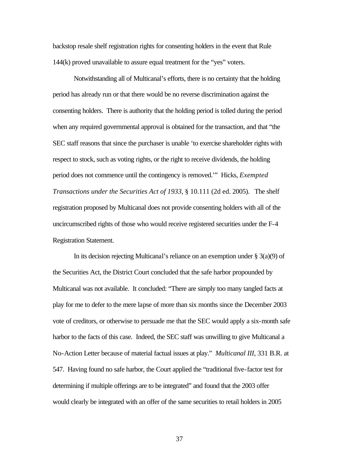backstop resale shelf registration rights for consenting holders in the event that Rule 144(k) proved unavailable to assure equal treatment for the "yes" voters.

Notwithstanding all of Multicanal's efforts, there is no certainty that the holding period has already run or that there would be no reverse discrimination against the consenting holders. There is authority that the holding period is tolled during the period when any required governmental approval is obtained for the transaction, and that "the SEC staff reasons that since the purchaser is unable 'to exercise shareholder rights with respect to stock, such as voting rights, or the right to receive dividends, the holding period does not commence until the contingency is removed.'" Hicks, *Exempted Transactions under the Securities Act of 1933*, § 10.111 (2d ed. 2005). The shelf registration proposed by Multicanal does not provide consenting holders with all of the uncircumscribed rights of those who would receive registered securities under the F-4 Registration Statement.

In its decision rejecting Multicanal's reliance on an exemption under  $\S 3(a)(9)$  of the Securities Act, the District Court concluded that the safe harbor propounded by Multicanal was not available. It concluded: "There are simply too many tangled facts at play for me to defer to the mere lapse of more than six months since the December 2003 vote of creditors, or otherwise to persuade me that the SEC would apply a six-month safe harbor to the facts of this case. Indeed, the SEC staff was unwilling to give Multicanal a No-Action Letter because of material factual issues at play." *Multicanal III*, 331 B.R. at 547. Having found no safe harbor, the Court applied the "traditional five-factor test for determining if multiple offerings are to be integrated" and found that the 2003 offer would clearly be integrated with an offer of the same securities to retail holders in 2005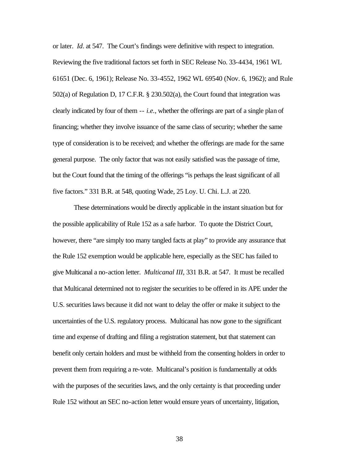or later. *Id*. at 547. The Court's findings were definitive with respect to integration. Reviewing the five traditional factors set forth in SEC Release No. 33-4434, 1961 WL 61651 (Dec. 6, 1961); Release No. 33-4552, 1962 WL 69540 (Nov. 6, 1962); and Rule 502(a) of Regulation D, 17 C.F.R. § 230.502(a), the Court found that integration was clearly indicated by four of them -- *i.e.*, whether the offerings are part of a single plan of financing; whether they involve issuance of the same class of security; whether the same type of consideration is to be received; and whether the offerings are made for the same general purpose. The only factor that was not easily satisfied was the passage of time, but the Court found that the timing of the offerings "is perhaps the least significant of all five factors." 331 B.R. at 548, quoting Wade, 25 Loy. U. Chi. L.J. at 220.

These determinations would be directly applicable in the instant situation but for the possible applicability of Rule 152 as a safe harbor. To quote the District Court, however, there "are simply too many tangled facts at play" to provide any assurance that the Rule 152 exemption would be applicable here, especially as the SEC has failed to give Multicanal a no-action letter. *Multicanal III*, 331 B.R. at 547. It must be recalled that Multicanal determined not to register the securities to be offered in its APE under the U.S. securities laws because it did not want to delay the offer or make it subject to the uncertainties of the U.S. regulatory process. Multicanal has now gone to the significant time and expense of drafting and filing a registration statement, but that statement can benefit only certain holders and must be withheld from the consenting holders in order to prevent them from requiring a re-vote. Multicanal's position is fundamentally at odds with the purposes of the securities laws, and the only certainty is that proceeding under Rule 152 without an SEC no-action letter would ensure years of uncertainty, litigation,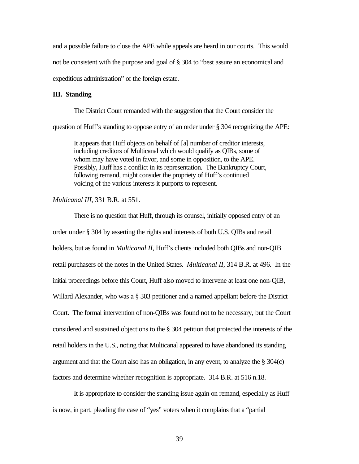and a possible failure to close the APE while appeals are heard in our courts. This would not be consistent with the purpose and goal of § 304 to "best assure an economical and expeditious administration" of the foreign estate.

## **III. Standing**

The District Court remanded with the suggestion that the Court consider the question of Huff's standing to oppose entry of an order under § 304 recognizing the APE:

It appears that Huff objects on behalf of [a] number of creditor interests, including creditors of Multicanal which would qualify as QIBs, some of whom may have voted in favor, and some in opposition, to the APE. Possibly, Huff has a conflict in its representation. The Bankruptcy Court, following remand, might consider the propriety of Huff's continued voicing of the various interests it purports to represent.

### *Multicanal III*, 331 B.R. at 551.

There is no question that Huff, through its counsel, initially opposed entry of an order under § 304 by asserting the rights and interests of both U.S. QIBs and retail holders, but as found in *Multicanal II*, Huff's clients included both QIBs and non-QIB retail purchasers of the notes in the United States. *Multicanal II*, 314 B.R. at 496. In the initial proceedings before this Court, Huff also moved to intervene at least one non-QIB, Willard Alexander, who was a § 303 petitioner and a named appellant before the District Court. The formal intervention of non-QIBs was found not to be necessary, but the Court considered and sustained objections to the § 304 petition that protected the interests of the retail holders in the U.S., noting that Multicanal appeared to have abandoned its standing argument and that the Court also has an obligation, in any event, to analyze the § 304(c) factors and determine whether recognition is appropriate. 314 B.R. at 516 n.18.

It is appropriate to consider the standing issue again on remand, especially as Huff is now, in part, pleading the case of "yes" voters when it complains that a "partial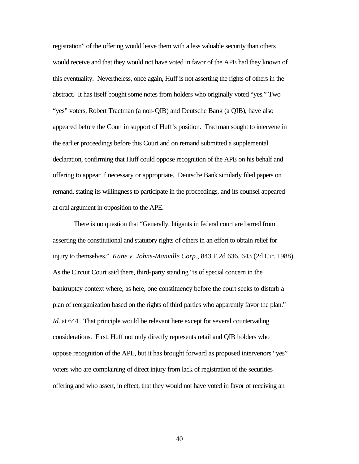registration" of the offering would leave them with a less valuable security than others would receive and that they would not have voted in favor of the APE had they known of this eventuality. Nevertheless, once again, Huff is not asserting the rights of others in the abstract. It has itself bought some notes from holders who originally voted "yes." Two "yes" voters, Robert Tractman (a non-QIB) and Deutsche Bank (a QIB), have also appeared before the Court in support of Huff's position. Tractman sought to intervene in the earlier proceedings before this Court and on remand submitted a supplemental declaration, confirming that Huff could oppose recognition of the APE on his behalf and offering to appear if necessary or appropriate. Deutsche Bank similarly filed papers on remand, stating its willingness to participate in the proceedings, and its counsel appeared at oral argument in opposition to the APE.

There is no question that "Generally, litigants in federal court are barred from asserting the constitutional and statutory rights of others in an effort to obtain relief for injury to themselves." *Kane v. Johns-Manville Corp.*, 843 F.2d 636, 643 (2d Cir. 1988). As the Circuit Court said there, third-party standing "is of special concern in the bankruptcy context where, as here, one constituency before the court seeks to disturb a plan of reorganization based on the rights of third parties who apparently favor the plan." *Id*. at 644. That principle would be relevant here except for several countervailing considerations. First, Huff not only directly represents retail and QIB holders who oppose recognition of the APE, but it has brought forward as proposed intervenors "yes" voters who are complaining of direct injury from lack of registration of the securities offering and who assert, in effect, that they would not have voted in favor of receiving an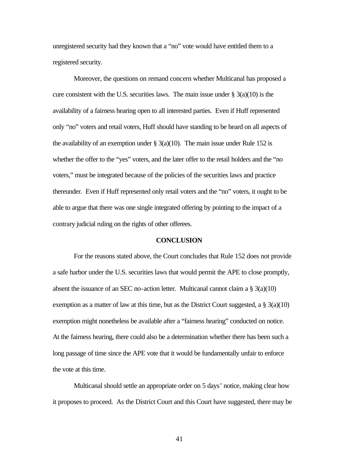unregistered security had they known that a "no" vote would have entitled them to a registered security.

Moreover, the questions on remand concern whether Multicanal has proposed a cure consistent with the U.S. securities laws. The main issue under  $\S$  3(a)(10) is the availability of a fairness hearing open to all interested parties. Even if Huff represented only "no" voters and retail voters, Huff should have standing to be heard on all aspects of the availability of an exemption under  $\S$  3(a)(10). The main issue under Rule 152 is whether the offer to the "yes" voters, and the later offer to the retail holders and the "no voters," must be integrated because of the policies of the securities laws and practice thereunder. Even if Huff represented only retail voters and the "no" voters, it ought to be able to argue that there was one single integrated offering by pointing to the impact of a contrary judicial ruling on the rights of other offerees.

#### **CONCLUSION**

For the reasons stated above, the Court concludes that Rule 152 does not provide a safe harbor under the U.S. securities laws that would permit the APE to close promptly, absent the issuance of an SEC no-action letter. Multicanal cannot claim a  $\S 3(a)(10)$ exemption as a matter of law at this time, but as the District Court suggested, a  $\S 3(a)(10)$ exemption might nonetheless be available after a "fairness hearing" conducted on notice. At the fairness hearing, there could also be a determination whether there has been such a long passage of time since the APE vote that it would be fundamentally unfair to enforce the vote at this time.

Multicanal should settle an appropriate order on 5 days' notice, making clear how it proposes to proceed. As the District Court and this Court have suggested, there may be